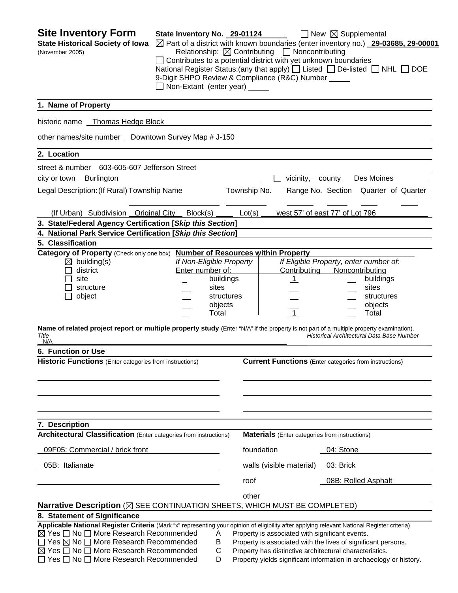**Site Inventory Form** State Inventory No. 29-01124 ■ New ⊠ Supplemental **State Historical Society of Iowa** Part of a district with known boundaries (enter inventory no.) **29-03685, 29-00001** (November 2005) Relationship:ContributingNoncontributing □ Contributes to a potential district with yet unknown boundaries National Register Status: (any that apply)  $\Box$  Listed  $\Box$  De-listed  $\Box$  NHL  $\Box$  DOE 9-Digit SHPO Review & Compliance (R&C) Number Non-Extant (enter year) **1. Name of Property**  historic name Thomas Hedge Block other names/site number Downtown Survey Map # J-150 **2. Location**  street & number 603-605-607 Jefferson Street city or town Burlington vicinity, county Des Moines Legal Description: (If Rural) Township Name Township No. Range No. Section Quarter of Quarter (If Urban) Subdivision Original City Block(s) Lot(s) west 57' of east 77' of Lot 796 **3. State/Federal Agency Certification [***Skip this Section***] 4. National Park Service Certification [***Skip this Section***] 5. Classification Category of Property** (Check only one box) **Number of Resources within Property** building(s) *If Non-Eligible Property If Eligible Property, enter number of:* district Enter number of: Contributing Noncontributing site **buildings 1** buildings **1 1 1** buildings structure sites sites sites sites sites sites sites object and the structures structures in the structures object structures objects and the objects of the contract of the contract of the contract of the contract of the contract of the contract of the contract of the contract of the contract of the contract of the contract of the contract of the Total 1 Total **Name of related project report or multiple property study** (Enter "N/A" if the property is not part of a multiple property examination). *Title Historical Architectural Data Base Number*  N/A **6. Function or Use Historic Functions** (Enter categories from instructions) **Current Functions** (Enter categories from instructions) **7. Description Architectural Classification** (Enter categories from instructions) **Materials** (Enter categories from instructions) 09F05: Commercial / brick front foundation foundation 04: Stone 05B: Italianate walls (visible material) 03: Brick roof 08B: Rolled Asphalt <u>other contracts and contracts and contracts and contracts and contracts and contracts and contracts and contracts and contracts and contracts and contracts and contracts and contracts and contracts and contracts and contr</u> **Narrative Description** ( $\boxtimes$  SEE CONTINUATION SHEETS, WHICH MUST BE COMPLETED) **8. Statement of Significance Applicable National Register Criteria** (Mark "x" representing your opinion of eligibility after applying relevant National Register criteria)  $\boxtimes$  Yes  $\Box$  No  $\Box$  More Research Recommended  $\Box$  A Property is associated with significant events.  $\Box$  Yes  $\boxtimes$  No  $\Box$  More Research Recommended B Property is associated with the lives of significant persons.  $\boxtimes$  Yes  $\Box$  No  $\Box$  More Research Recommended  $\Box$  C Property has distinctive architectural characteristics.  $\Box$  Yes  $\Box$  No  $\Box$  More Research Recommended D Property yields significant information in archaeology or history.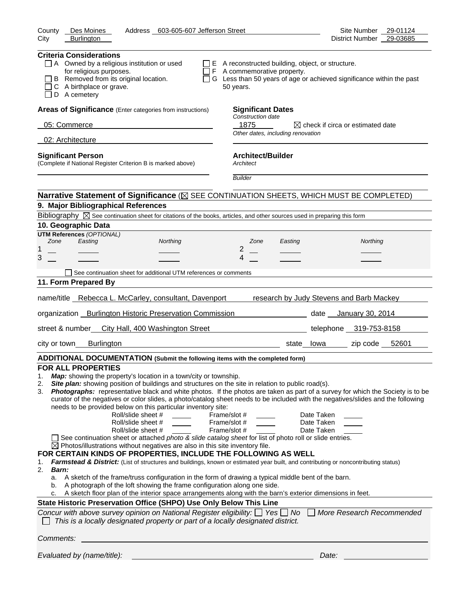| Address 603-605-607 Jefferson Street<br>County<br>Des Moines<br>City<br><b>Burlington</b>                                                                                                                                                                                                                                                                                                                                                                                                                                                                                                                                                                                                                                                                                                                                                                                                                                                                                                                                                                                                                                                                                                                                                                                                                                                                                                                                                                                                                                                                                                                                                                                                      | Site Number 29-01124<br>District Number 29-03685                       |
|------------------------------------------------------------------------------------------------------------------------------------------------------------------------------------------------------------------------------------------------------------------------------------------------------------------------------------------------------------------------------------------------------------------------------------------------------------------------------------------------------------------------------------------------------------------------------------------------------------------------------------------------------------------------------------------------------------------------------------------------------------------------------------------------------------------------------------------------------------------------------------------------------------------------------------------------------------------------------------------------------------------------------------------------------------------------------------------------------------------------------------------------------------------------------------------------------------------------------------------------------------------------------------------------------------------------------------------------------------------------------------------------------------------------------------------------------------------------------------------------------------------------------------------------------------------------------------------------------------------------------------------------------------------------------------------------|------------------------------------------------------------------------|
|                                                                                                                                                                                                                                                                                                                                                                                                                                                                                                                                                                                                                                                                                                                                                                                                                                                                                                                                                                                                                                                                                                                                                                                                                                                                                                                                                                                                                                                                                                                                                                                                                                                                                                |                                                                        |
| <b>Criteria Considerations</b><br>$\Box$ A Owned by a religious institution or used<br>$\Box$ E A reconstructed building, object, or structure.<br>for religious purposes.<br>$\Box$ F A commemorative property.<br>B Removed from its original location.<br>C A birthplace or grave.<br>50 years.<br>$\Box$ D A cemetery                                                                                                                                                                                                                                                                                                                                                                                                                                                                                                                                                                                                                                                                                                                                                                                                                                                                                                                                                                                                                                                                                                                                                                                                                                                                                                                                                                      | □ G Less than 50 years of age or achieved significance within the past |
| Areas of Significance (Enter categories from instructions)<br><b>Significant Dates</b>                                                                                                                                                                                                                                                                                                                                                                                                                                                                                                                                                                                                                                                                                                                                                                                                                                                                                                                                                                                                                                                                                                                                                                                                                                                                                                                                                                                                                                                                                                                                                                                                         |                                                                        |
| Construction date<br>05: Commerce<br>1875                                                                                                                                                                                                                                                                                                                                                                                                                                                                                                                                                                                                                                                                                                                                                                                                                                                                                                                                                                                                                                                                                                                                                                                                                                                                                                                                                                                                                                                                                                                                                                                                                                                      | $\boxtimes$ check if circa or estimated date                           |
| Other dates, including renovation<br>02: Architecture                                                                                                                                                                                                                                                                                                                                                                                                                                                                                                                                                                                                                                                                                                                                                                                                                                                                                                                                                                                                                                                                                                                                                                                                                                                                                                                                                                                                                                                                                                                                                                                                                                          |                                                                        |
| <b>Architect/Builder</b><br><b>Significant Person</b><br>(Complete if National Register Criterion B is marked above)<br>Architect<br><b>Builder</b>                                                                                                                                                                                                                                                                                                                                                                                                                                                                                                                                                                                                                                                                                                                                                                                                                                                                                                                                                                                                                                                                                                                                                                                                                                                                                                                                                                                                                                                                                                                                            |                                                                        |
| Narrative Statement of Significance ( $\boxtimes$ SEE CONTINUATION SHEETS, WHICH MUST BE COMPLETED)                                                                                                                                                                                                                                                                                                                                                                                                                                                                                                                                                                                                                                                                                                                                                                                                                                                                                                                                                                                                                                                                                                                                                                                                                                                                                                                                                                                                                                                                                                                                                                                            |                                                                        |
| 9. Major Bibliographical References                                                                                                                                                                                                                                                                                                                                                                                                                                                                                                                                                                                                                                                                                                                                                                                                                                                                                                                                                                                                                                                                                                                                                                                                                                                                                                                                                                                                                                                                                                                                                                                                                                                            |                                                                        |
| Bibliography $\boxtimes$ See continuation sheet for citations of the books, articles, and other sources used in preparing this form                                                                                                                                                                                                                                                                                                                                                                                                                                                                                                                                                                                                                                                                                                                                                                                                                                                                                                                                                                                                                                                                                                                                                                                                                                                                                                                                                                                                                                                                                                                                                            |                                                                        |
| 10. Geographic Data                                                                                                                                                                                                                                                                                                                                                                                                                                                                                                                                                                                                                                                                                                                                                                                                                                                                                                                                                                                                                                                                                                                                                                                                                                                                                                                                                                                                                                                                                                                                                                                                                                                                            |                                                                        |
| <b>UTM References (OPTIONAL)</b><br>Zone<br>Easting<br>Northing<br>Zone<br>Easting<br>2<br>1<br>3<br>4                                                                                                                                                                                                                                                                                                                                                                                                                                                                                                                                                                                                                                                                                                                                                                                                                                                                                                                                                                                                                                                                                                                                                                                                                                                                                                                                                                                                                                                                                                                                                                                         | Northing                                                               |
| See continuation sheet for additional UTM references or comments                                                                                                                                                                                                                                                                                                                                                                                                                                                                                                                                                                                                                                                                                                                                                                                                                                                                                                                                                                                                                                                                                                                                                                                                                                                                                                                                                                                                                                                                                                                                                                                                                               |                                                                        |
| 11. Form Prepared By                                                                                                                                                                                                                                                                                                                                                                                                                                                                                                                                                                                                                                                                                                                                                                                                                                                                                                                                                                                                                                                                                                                                                                                                                                                                                                                                                                                                                                                                                                                                                                                                                                                                           |                                                                        |
|                                                                                                                                                                                                                                                                                                                                                                                                                                                                                                                                                                                                                                                                                                                                                                                                                                                                                                                                                                                                                                                                                                                                                                                                                                                                                                                                                                                                                                                                                                                                                                                                                                                                                                |                                                                        |
| name/title Rebecca L. McCarley, consultant, Davenport                                                                                                                                                                                                                                                                                                                                                                                                                                                                                                                                                                                                                                                                                                                                                                                                                                                                                                                                                                                                                                                                                                                                                                                                                                                                                                                                                                                                                                                                                                                                                                                                                                          | research by Judy Stevens and Barb Mackey                               |
| organization _ Burlington Historic Preservation Commission                                                                                                                                                                                                                                                                                                                                                                                                                                                                                                                                                                                                                                                                                                                                                                                                                                                                                                                                                                                                                                                                                                                                                                                                                                                                                                                                                                                                                                                                                                                                                                                                                                     | date <u>January 30, 2014</u>                                           |
| street & number_ City Hall, 400 Washington Street                                                                                                                                                                                                                                                                                                                                                                                                                                                                                                                                                                                                                                                                                                                                                                                                                                                                                                                                                                                                                                                                                                                                                                                                                                                                                                                                                                                                                                                                                                                                                                                                                                              | telephone 319-753-8158                                                 |
| city or town<br>Burlington                                                                                                                                                                                                                                                                                                                                                                                                                                                                                                                                                                                                                                                                                                                                                                                                                                                                                                                                                                                                                                                                                                                                                                                                                                                                                                                                                                                                                                                                                                                                                                                                                                                                     | zip code 52601<br>state__lowa___                                       |
| ADDITIONAL DOCUMENTATION (Submit the following items with the completed form)                                                                                                                                                                                                                                                                                                                                                                                                                                                                                                                                                                                                                                                                                                                                                                                                                                                                                                                                                                                                                                                                                                                                                                                                                                                                                                                                                                                                                                                                                                                                                                                                                  |                                                                        |
| <b>FOR ALL PROPERTIES</b><br><b>Map:</b> showing the property's location in a town/city or township.<br>1.<br>Site plan: showing position of buildings and structures on the site in relation to public road(s).<br>2.<br>Photographs: representative black and white photos. If the photos are taken as part of a survey for which the Society is to be<br>3.<br>curator of the negatives or color slides, a photo/catalog sheet needs to be included with the negatives/slides and the following<br>needs to be provided below on this particular inventory site:<br>Roll/slide sheet #<br>Frame/slot #<br>Roll/slide sheet #<br>Frame/slot #<br>Roll/slide sheet #<br>Frame/slot #<br>See continuation sheet or attached photo & slide catalog sheet for list of photo roll or slide entries.<br>$\boxtimes$ Photos/illustrations without negatives are also in this site inventory file.<br>FOR CERTAIN KINDS OF PROPERTIES, INCLUDE THE FOLLOWING AS WELL<br>Farmstead & District: (List of structures and buildings, known or estimated year built, and contributing or noncontributing status)<br>1.<br>2.<br><b>Barn:</b><br>a. A sketch of the frame/truss configuration in the form of drawing a typical middle bent of the barn.<br>b. A photograph of the loft showing the frame configuration along one side.<br>c. A sketch floor plan of the interior space arrangements along with the barn's exterior dimensions in feet.<br>State Historic Preservation Office (SHPO) Use Only Below This Line<br>Concur with above survey opinion on National Register eligibility: $\Box$ Yes $\Box$ No<br>This is a locally designated property or part of a locally designated district. | Date Taken<br>Date Taken<br>Date Taken<br>More Research Recommended    |
| Comments:                                                                                                                                                                                                                                                                                                                                                                                                                                                                                                                                                                                                                                                                                                                                                                                                                                                                                                                                                                                                                                                                                                                                                                                                                                                                                                                                                                                                                                                                                                                                                                                                                                                                                      |                                                                        |
| Evaluated by (name/title):                                                                                                                                                                                                                                                                                                                                                                                                                                                                                                                                                                                                                                                                                                                                                                                                                                                                                                                                                                                                                                                                                                                                                                                                                                                                                                                                                                                                                                                                                                                                                                                                                                                                     | Date:                                                                  |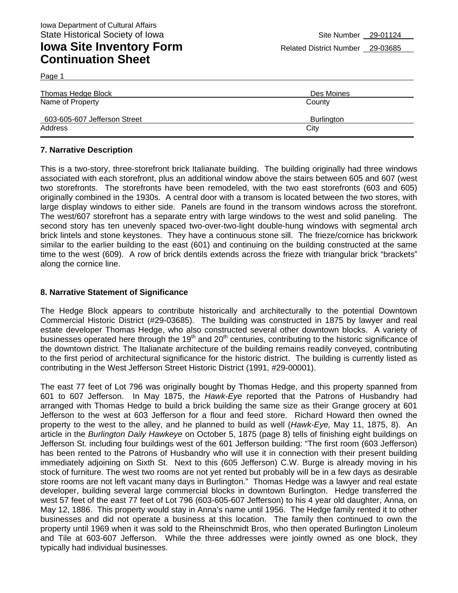Page 1

| Thomas Hedge Block                               | Des Moines                  |
|--------------------------------------------------|-----------------------------|
| Name of Property<br>603-605-607 Jefferson Street | County<br><b>Burlington</b> |
| Address                                          | City                        |

#### **7. Narrative Description**

This is a two-story, three-storefront brick Italianate building. The building originally had three windows associated with each storefront, plus an additional window above the stairs between 605 and 607 (west two storefronts. The storefronts have been remodeled, with the two east storefronts (603 and 605) originally combined in the 1930s. A central door with a transom is located between the two stores, with large display windows to either side. Panels are found in the transom windows across the storefront. The west/607 storefront has a separate entry with large windows to the west and solid paneling. The second story has ten unevenly spaced two-over-two-light double-hung windows with segmental arch brick lintels and stone keystones. They have a continuous stone sill. The frieze/cornice has brickwork similar to the earlier building to the east (601) and continuing on the building constructed at the same time to the west (609). A row of brick dentils extends across the frieze with triangular brick "brackets" along the cornice line.

#### **8. Narrative Statement of Significance**

The Hedge Block appears to contribute historically and architecturally to the potential Downtown Commercial Historic District (#29-03685). The building was constructed in 1875 by lawyer and real estate developer Thomas Hedge, who also constructed several other downtown blocks. A variety of businesses operated here through the  $19<sup>th</sup>$  and  $20<sup>th</sup>$  centuries, contributing to the historic significance of the downtown district. The Italianate architecture of the building remains readily conveyed, contributing to the first period of architectural significance for the historic district. The building is currently listed as contributing in the West Jefferson Street Historic District (1991, #29-00001).

The east 77 feet of Lot 796 was originally bought by Thomas Hedge, and this property spanned from 601 to 607 Jefferson. In May 1875, the *Hawk-Eye* reported that the Patrons of Husbandry had arranged with Thomas Hedge to build a brick building the same size as their Grange grocery at 601 Jefferson to the west at 603 Jefferson for a flour and feed store. Richard Howard then owned the property to the west to the alley, and he planned to build as well (*Hawk-Eye,* May 11, 1875, 8). An article in the *Burlington Daily Hawkeye* on October 5, 1875 (page 8) tells of finishing eight buildings on Jefferson St. including four buildings west of the 601 Jefferson building: "The first room (603 Jefferson) has been rented to the Patrons of Husbandry who will use it in connection with their present building immediately adjoining on Sixth St. Next to this (605 Jefferson) C.W. Burge is already moving in his stock of furniture. The west two rooms are not yet rented but probably will be in a few days as desirable store rooms are not left vacant many days in Burlington." Thomas Hedge was a lawyer and real estate developer, building several large commercial blocks in downtown Burlington. Hedge transferred the west 57 feet of the east 77 feet of Lot 796 (603-605-607 Jefferson) to his 4 year old daughter, Anna, on May 12, 1886. This property would stay in Anna's name until 1956. The Hedge family rented it to other businesses and did not operate a business at this location. The family then continued to own the property until 1969 when it was sold to the Rheinschmidt Bros, who then operated Burlington Linoleum and Tile at 603-607 Jefferson. While the three addresses were jointly owned as one block, they typically had individual businesses.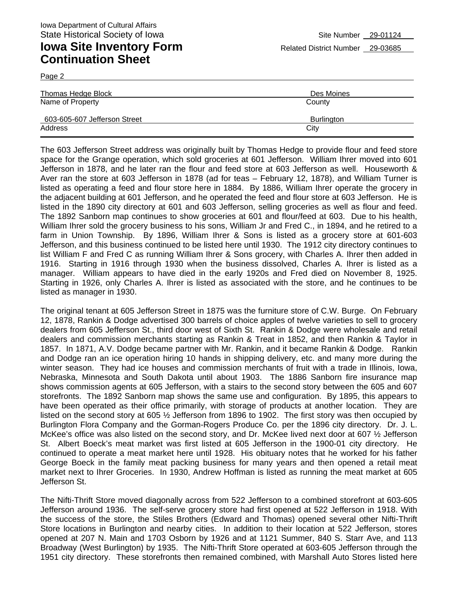Page 2

| Thomas Hedge Block           | Des Moines        |
|------------------------------|-------------------|
| Name of Property             | County            |
| 603-605-607 Jefferson Street | <b>Burlington</b> |
| Address                      | City              |

The 603 Jefferson Street address was originally built by Thomas Hedge to provide flour and feed store space for the Grange operation, which sold groceries at 601 Jefferson. William Ihrer moved into 601 Jefferson in 1878, and he later ran the flour and feed store at 603 Jefferson as well. Houseworth & Aver ran the store at 603 Jefferson in 1878 (ad for teas – February 12, 1878), and William Turner is listed as operating a feed and flour store here in 1884. By 1886, William Ihrer operate the grocery in the adjacent building at 601 Jefferson, and he operated the feed and flour store at 603 Jefferson. He is listed in the 1890 city directory at 601 and 603 Jefferson, selling groceries as well as flour and feed. The 1892 Sanborn map continues to show groceries at 601 and flour/feed at 603. Due to his health, William Ihrer sold the grocery business to his sons, William Jr and Fred C., in 1894, and he retired to a farm in Union Township. By 1896, William Ihrer & Sons is listed as a grocery store at 601-603 Jefferson, and this business continued to be listed here until 1930. The 1912 city directory continues to list William F and Fred C as running William Ihrer & Sons grocery, with Charles A. Ihrer then added in 1916. Starting in 1916 through 1930 when the business dissolved, Charles A. Ihrer is listed as a manager. William appears to have died in the early 1920s and Fred died on November 8, 1925. Starting in 1926, only Charles A. Ihrer is listed as associated with the store, and he continues to be listed as manager in 1930.

The original tenant at 605 Jefferson Street in 1875 was the furniture store of C.W. Burge. On February 12, 1878, Rankin & Dodge advertised 300 barrels of choice apples of twelve varieties to sell to grocery dealers from 605 Jefferson St., third door west of Sixth St. Rankin & Dodge were wholesale and retail dealers and commission merchants starting as Rankin & Treat in 1852, and then Rankin & Taylor in 1857. In 1871, A.V. Dodge became partner with Mr. Rankin, and it became Rankin & Dodge. Rankin and Dodge ran an ice operation hiring 10 hands in shipping delivery, etc. and many more during the winter season. They had ice houses and commission merchants of fruit with a trade in Illinois, Iowa, Nebraska, Minnesota and South Dakota until about 1903. The 1886 Sanborn fire insurance map shows commission agents at 605 Jefferson, with a stairs to the second story between the 605 and 607 storefronts. The 1892 Sanborn map shows the same use and configuration. By 1895, this appears to have been operated as their office primarily, with storage of products at another location. They are listed on the second story at 605 ½ Jefferson from 1896 to 1902. The first story was then occupied by Burlington Flora Company and the Gorman-Rogers Produce Co. per the 1896 city directory. Dr. J. L. McKee's office was also listed on the second story, and Dr. McKee lived next door at 607 ½ Jefferson St. Albert Boeck's meat market was first listed at 605 Jefferson in the 1900-01 city directory. He continued to operate a meat market here until 1928. His obituary notes that he worked for his father George Boeck in the family meat packing business for many years and then opened a retail meat market next to Ihrer Groceries. In 1930, Andrew Hoffman is listed as running the meat market at 605 Jefferson St.

The Nifti-Thrift Store moved diagonally across from 522 Jefferson to a combined storefront at 603-605 Jefferson around 1936. The self-serve grocery store had first opened at 522 Jefferson in 1918. With the success of the store, the Stiles Brothers (Edward and Thomas) opened several other Nifti-Thrift Store locations in Burlington and nearby cities. In addition to their location at 522 Jefferson, stores opened at 207 N. Main and 1703 Osborn by 1926 and at 1121 Summer, 840 S. Starr Ave, and 113 Broadway (West Burlington) by 1935. The Nifti-Thrift Store operated at 603-605 Jefferson through the 1951 city directory. These storefronts then remained combined, with Marshall Auto Stores listed here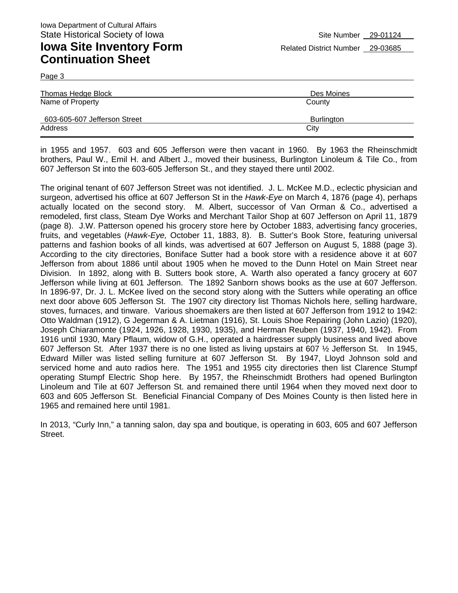Page 3

| County             |
|--------------------|
| Burlington<br>City |
|                    |

in 1955 and 1957. 603 and 605 Jefferson were then vacant in 1960. By 1963 the Rheinschmidt brothers, Paul W., Emil H. and Albert J., moved their business, Burlington Linoleum & Tile Co., from 607 Jefferson St into the 603-605 Jefferson St., and they stayed there until 2002.

The original tenant of 607 Jefferson Street was not identified. J. L. McKee M.D., eclectic physician and surgeon, advertised his office at 607 Jefferson St in the *Hawk-Eye* on March 4, 1876 (page 4), perhaps actually located on the second story. M. Albert, successor of Van Orman & Co., advertised a remodeled, first class, Steam Dye Works and Merchant Tailor Shop at 607 Jefferson on April 11, 1879 (page 8). J.W. Patterson opened his grocery store here by October 1883, advertising fancy groceries, fruits, and vegetables (*Hawk-Eye,* October 11, 1883, 8). B. Sutter's Book Store, featuring universal patterns and fashion books of all kinds, was advertised at 607 Jefferson on August 5, 1888 (page 3). According to the city directories, Boniface Sutter had a book store with a residence above it at 607 Jefferson from about 1886 until about 1905 when he moved to the Dunn Hotel on Main Street near Division. In 1892, along with B. Sutters book store, A. Warth also operated a fancy grocery at 607 Jefferson while living at 601 Jefferson. The 1892 Sanborn shows books as the use at 607 Jefferson. In 1896-97, Dr. J. L. McKee lived on the second story along with the Sutters while operating an office next door above 605 Jefferson St. The 1907 city directory list Thomas Nichols here, selling hardware, stoves, furnaces, and tinware. Various shoemakers are then listed at 607 Jefferson from 1912 to 1942: Otto Waldman (1912), G Jegerman & A. Lietman (1916), St. Louis Shoe Repairing (John Lazio) (1920), Joseph Chiaramonte (1924, 1926, 1928, 1930, 1935), and Herman Reuben (1937, 1940, 1942). From 1916 until 1930, Mary Pflaum, widow of G.H., operated a hairdresser supply business and lived above 607 Jefferson St. After 1937 there is no one listed as living upstairs at 607 ½ Jefferson St. In 1945, Edward Miller was listed selling furniture at 607 Jefferson St. By 1947, Lloyd Johnson sold and serviced home and auto radios here. The 1951 and 1955 city directories then list Clarence Stumpf operating Stumpf Electric Shop here. By 1957, the Rheinschmidt Brothers had opened Burlington Linoleum and Tile at 607 Jefferson St. and remained there until 1964 when they moved next door to 603 and 605 Jefferson St. Beneficial Financial Company of Des Moines County is then listed here in 1965 and remained here until 1981.

In 2013, "Curly Inn," a tanning salon, day spa and boutique, is operating in 603, 605 and 607 Jefferson Street.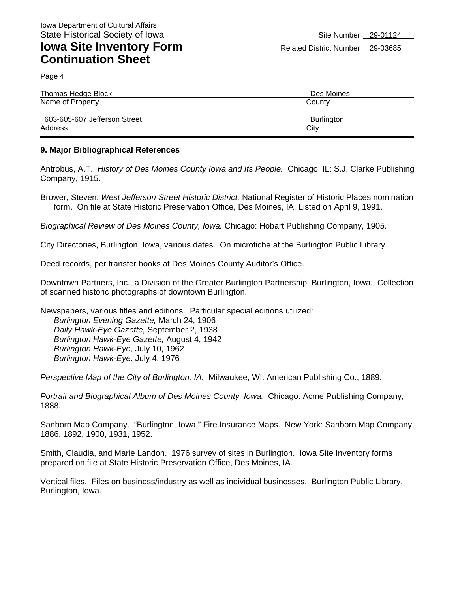Page 4

| Thomas Hedge Block           | Des Moines |
|------------------------------|------------|
| Name of Property             | County     |
| 603-605-607 Jefferson Street | Burlington |
| Address                      | City       |

#### **9. Major Bibliographical References**

Antrobus, A.T. *History of Des Moines County Iowa and Its People.* Chicago, IL: S.J. Clarke Publishing Company, 1915.

Brower, Steven. *West Jefferson Street Historic District.* National Register of Historic Places nomination form. On file at State Historic Preservation Office, Des Moines, IA. Listed on April 9, 1991.

*Biographical Review of Des Moines County, Iowa.* Chicago: Hobart Publishing Company, 1905.

City Directories, Burlington, Iowa, various dates. On microfiche at the Burlington Public Library

Deed records, per transfer books at Des Moines County Auditor's Office.

Downtown Partners, Inc., a Division of the Greater Burlington Partnership, Burlington, Iowa. Collection of scanned historic photographs of downtown Burlington.

Newspapers, various titles and editions. Particular special editions utilized: *Burlington Evening Gazette,* March 24, 1906 *Daily Hawk-Eye Gazette,* September 2, 1938 *Burlington Hawk-Eye Gazette,* August 4, 1942 *Burlington Hawk-Eye,* July 10, 1962 *Burlington Hawk-Eye,* July 4, 1976

*Perspective Map of the City of Burlington, IA.* Milwaukee, WI: American Publishing Co., 1889.

*Portrait and Biographical Album of Des Moines County, Iowa.* Chicago: Acme Publishing Company, 1888.

Sanborn Map Company. "Burlington, Iowa," Fire Insurance Maps. New York: Sanborn Map Company, 1886, 1892, 1900, 1931, 1952.

Smith, Claudia, and Marie Landon. 1976 survey of sites in Burlington. Iowa Site Inventory forms prepared on file at State Historic Preservation Office, Des Moines, IA.

Vertical files. Files on business/industry as well as individual businesses. Burlington Public Library, Burlington, Iowa.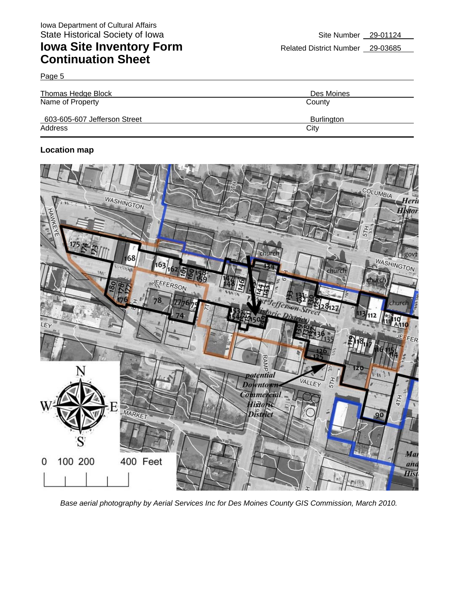Page 5

| <b>Thomas Hedge Block</b>    | Des Moines |
|------------------------------|------------|
| Name of Property             | County     |
| 603-605-607 Jefferson Street | Burlington |
| Address                      | City       |

#### **Location map**



*Base aerial photography by Aerial Services Inc for Des Moines County GIS Commission, March 2010.*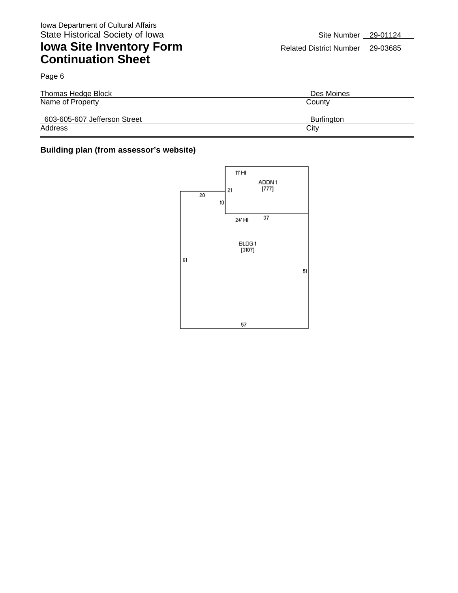Page 6

## **Iowa Site Inventory Form** Related District Number 29-03685 **Continuation Sheet**

| Thomas Hedge Block           | Des Moines        |
|------------------------------|-------------------|
| Name of Property             | County            |
| 603-605-607 Jefferson Street | <b>Burlington</b> |
| Address                      | City              |

#### **Building plan (from assessor's website)**

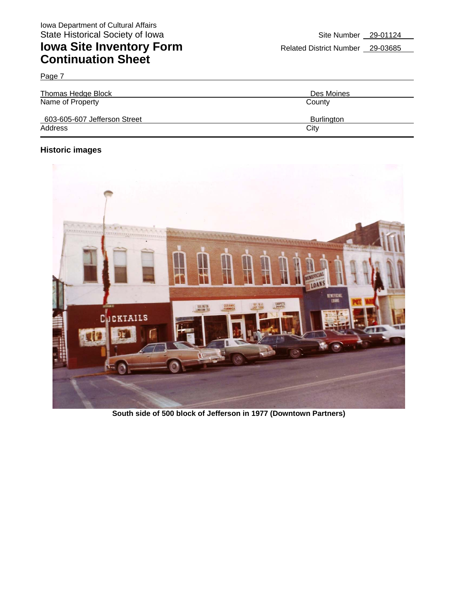Page 7

| Thomas Hedge Block           | Des Moines |
|------------------------------|------------|
| Name of Property             | County     |
| 603-605-607 Jefferson Street | Burlington |
| Address                      | City       |

#### **Historic images**



**South side of 500 block of Jefferson in 1977 (Downtown Partners)**